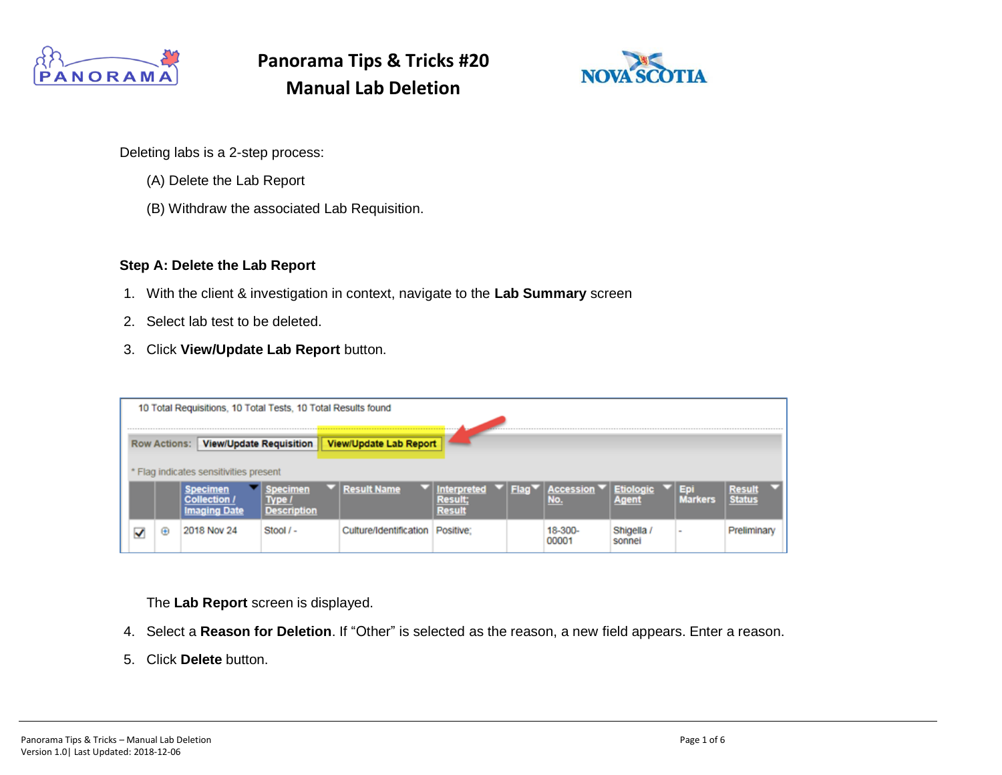



Deleting labs is a 2-step process:

- (A) Delete the Lab Report
- (B) Withdraw the associated Lab Requisition.

#### **Step A: Delete the Lab Report**

- 1. With the client & investigation in context, navigate to the **Lab Summary** screen
- 2. Select lab test to be deleted.
- 3. Click **View/Update Lab Report** button.

|                                      |                                                       | 10 Total Requisitions, 10 Total Tests, 10 Total Results found |                                     |                                |                               |                                 |             |                  |                           |                |                         |  |
|--------------------------------------|-------------------------------------------------------|---------------------------------------------------------------|-------------------------------------|--------------------------------|-------------------------------|---------------------------------|-------------|------------------|---------------------------|----------------|-------------------------|--|
|                                      | <b>View/Update Requisition</b><br><b>Row Actions:</b> |                                                               |                                     |                                | <b>View/Update Lab Report</b> |                                 |             |                  |                           |                |                         |  |
| Flag indicates sensitivities present |                                                       |                                                               |                                     |                                |                               |                                 |             |                  |                           |                |                         |  |
|                                      |                                                       |                                                               | Collection .<br><b>Imaging Date</b> | ipecimen<br><b>Description</b> | <b>Result Name</b>            | Interpreted<br>Result<br>Result | <b>Flag</b> | Accession<br>No. | <b>Etiologic</b><br>Agent | <b>Markers</b> | Result<br><b>Status</b> |  |
|                                      | √                                                     | ⊕                                                             | 2018 Nov 24                         | $Stool / -$                    | Culture/Identification        | Positive:                       |             | 18-300-<br>00001 | Shigella /<br>sonnel      | $\sim$         | Preliminary             |  |

The **Lab Report** screen is displayed.

- 4. Select a **Reason for Deletion**. If "Other" is selected as the reason, a new field appears. Enter a reason.
- 5. Click **Delete** button.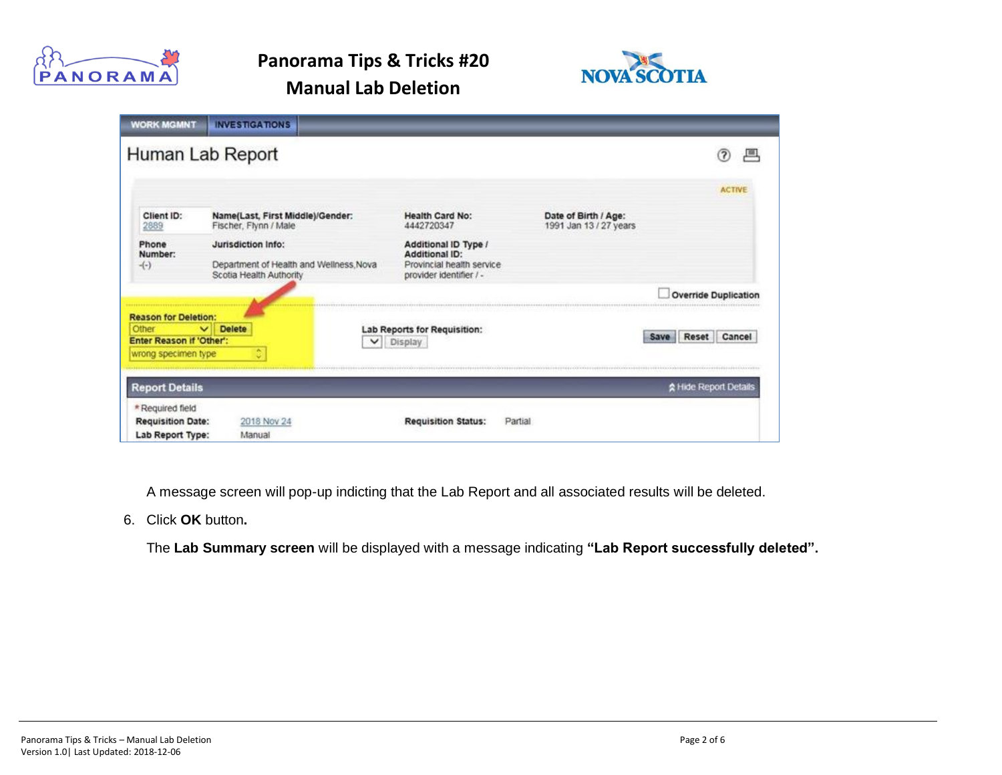



| <b>WORK MGMNT</b>                                                                       | <b>INVESTIGATIONS</b>                                                                   |                                                                                                |                                                |                             |
|-----------------------------------------------------------------------------------------|-----------------------------------------------------------------------------------------|------------------------------------------------------------------------------------------------|------------------------------------------------|-----------------------------|
|                                                                                         | Human Lab Report                                                                        |                                                                                                |                                                | 厘                           |
|                                                                                         |                                                                                         |                                                                                                |                                                | <b>ACTIVE</b>               |
| Client ID:<br>2889                                                                      | Name(Last, First Middle)/Gender:<br>Fischer, Flynn / Male                               | <b>Health Card No:</b><br>4442720347                                                           | Date of Birth / Age:<br>1991 Jan 13 / 27 years |                             |
| Phone<br>Number:<br>$-(-)$                                                              | Jurisdiction Info:<br>Department of Health and Wellness Nova<br>Scotia Health Authority | Additional ID Type /<br>Additional ID:<br>Provincial health service<br>provider identifier / - |                                                |                             |
|                                                                                         |                                                                                         |                                                                                                |                                                | <b>Override Duplication</b> |
| <b>Reason for Deletion:</b><br>Other<br>Enter Reason if 'Other':<br>wrong specimen type | <b>Delete</b><br>$\checkmark$<br>¢                                                      | Lab Reports for Requisition:<br>Display<br>$\check{ }$                                         |                                                | Cancel<br>Reset<br>Save     |
| <b>Report Details</b>                                                                   |                                                                                         |                                                                                                |                                                | A Hide Report Details       |
| * Required field<br><b>Requisition Date:</b><br>Lab Report Type:                        | 2018 Nov 24<br>Manual                                                                   | Partial<br><b>Requisition Status:</b>                                                          |                                                |                             |

A message screen will pop-up indicting that the Lab Report and all associated results will be deleted.

6. Click **OK** button**.**

The **Lab Summary screen** will be displayed with a message indicating **"Lab Report successfully deleted".**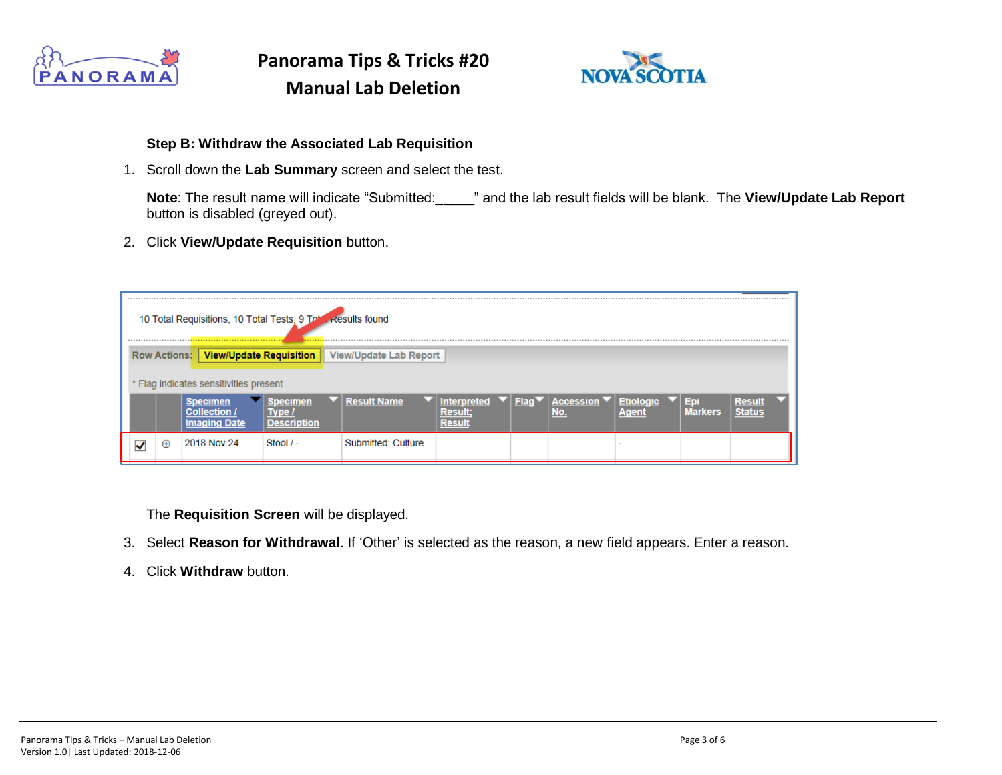



#### **Step B: Withdraw the Associated Lab Requisition**

1. Scroll down the **Lab Summary** screen and select the test.

**Note**: The result name will indicate "Submitted:\_\_\_\_\_" and the lab result fields will be blank. The **View/Update Lab Report** button is disabled (greyed out).

2. Click **View/Update Requisition** button.

|   | <br>10 Total Requisitions, 10 Total Tests, 9 Total Results found<br>. |                     |                                                                          |                        |                        |                                               |      |                |  |                      |              |  |
|---|-----------------------------------------------------------------------|---------------------|--------------------------------------------------------------------------|------------------------|------------------------|-----------------------------------------------|------|----------------|--|----------------------|--------------|--|
|   |                                                                       | <b>Row Actions:</b> | <b>View/Update Requisition</b><br>* Flag indicates sensitivities present |                        | View/Update Lab Report |                                               |      |                |  |                      |              |  |
|   |                                                                       |                     | <b>Imaging Date</b>                                                      | pecimen<br>Description | <b>Result Name</b>     | <b>Interpreted</b><br>Result<br><b>Result</b> | Flac | Accessio<br>Ю. |  | Eг<br><b>Markers</b> | <b>Resul</b> |  |
| ✔ |                                                                       | ⊕                   | 2018 Nov 24                                                              | $Stool / -$            | Submitted: Culture     |                                               |      |                |  |                      |              |  |

The **Requisition Screen** will be displayed.

- 3. Select **Reason for Withdrawal**. If 'Other' is selected as the reason, a new field appears. Enter a reason.
- 4. Click **Withdraw** button.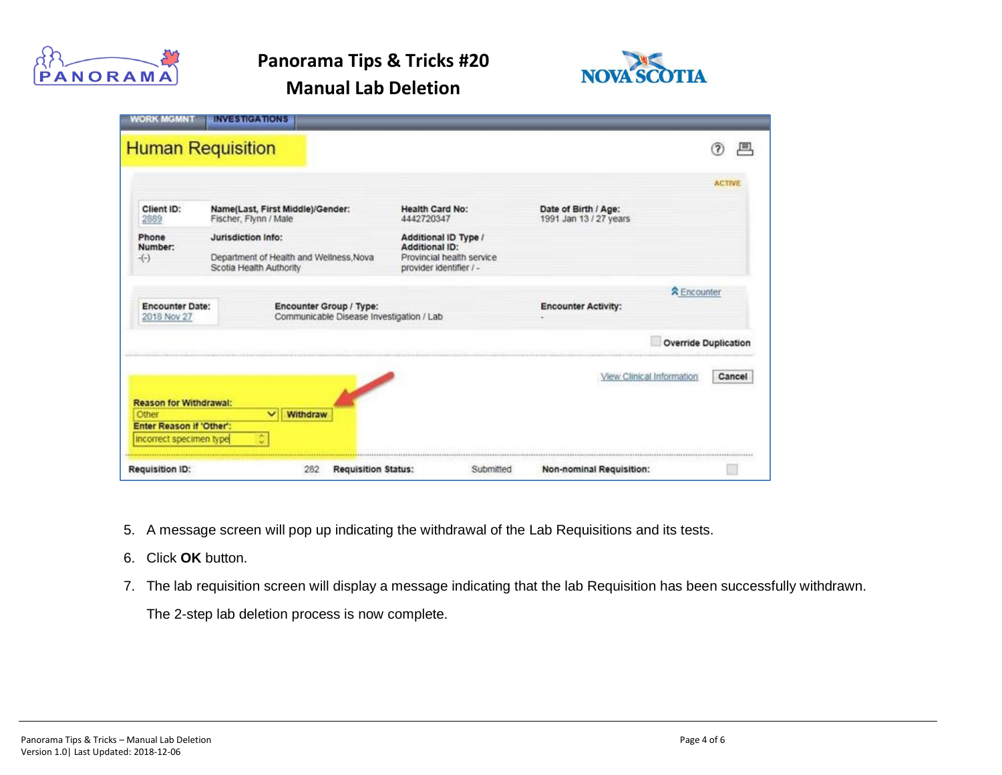



| Other<br>Enter Reason if 'Other':<br>incorrect specimen type | $\checkmark$<br>¢                             | Withdraw                                                            |                                                                                                       |                                                  |                             |
|--------------------------------------------------------------|-----------------------------------------------|---------------------------------------------------------------------|-------------------------------------------------------------------------------------------------------|--------------------------------------------------|-----------------------------|
| <b>Reason for Withdrawal:</b>                                |                                               |                                                                     |                                                                                                       | View Clinical Information                        | Cancel                      |
|                                                              |                                               |                                                                     |                                                                                                       |                                                  | <b>Override Duplication</b> |
| <b>Encounter Date:</b><br>2018 Nov 27                        |                                               | Encounter Group / Type:<br>Communicable Disease Investigation / Lab |                                                                                                       | <b>R</b> Encounter<br><b>Encounter Activity:</b> |                             |
| Phone<br>Number:<br>$-(-)$                                   | Jurisdiction Info:<br>Scotia Health Authority | Department of Health and Wellness Nova                              | Additional ID Type /<br><b>Additional ID:</b><br>Provincial health service<br>provider identifier / - |                                                  |                             |
| Client ID:<br>2889                                           | Fischer, Flynn / Male                         | Name(Last, First Middle)/Gender:                                    | <b>Health Card No:</b><br>4442720347                                                                  | Date of Birth / Age:<br>1991 Jan 13 / 27 years   |                             |
|                                                              |                                               |                                                                     |                                                                                                       |                                                  | <b>ACTIVE</b>               |
| <b>Human Requisition</b>                                     |                                               |                                                                     |                                                                                                       |                                                  | 風<br>?)                     |

- 5. A message screen will pop up indicating the withdrawal of the Lab Requisitions and its tests.
- 6. Click **OK** button.
- 7. The lab requisition screen will display a message indicating that the lab Requisition has been successfully withdrawn.

The 2-step lab deletion process is now complete.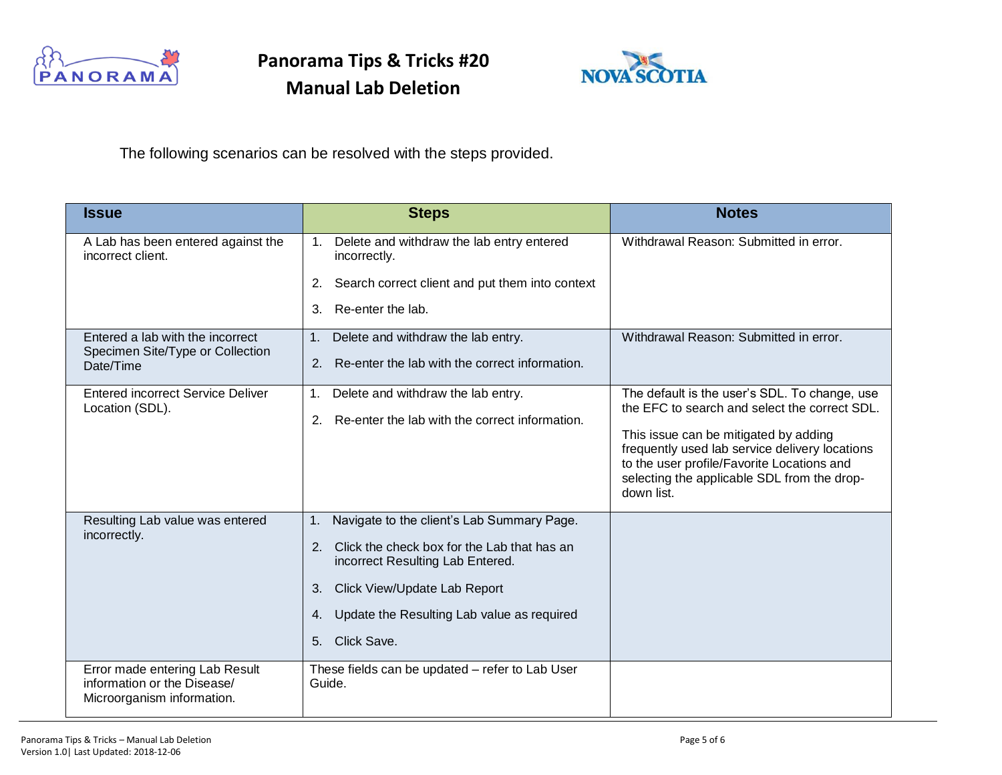



The following scenarios can be resolved with the steps provided.

| <b>Issue</b>                                                                                | <b>Steps</b>                                                                          | <b>Notes</b>                                                                                                                                                                                       |  |  |
|---------------------------------------------------------------------------------------------|---------------------------------------------------------------------------------------|----------------------------------------------------------------------------------------------------------------------------------------------------------------------------------------------------|--|--|
| A Lab has been entered against the<br>incorrect client.                                     | 1. Delete and withdraw the lab entry entered<br>incorrectly.                          | Withdrawal Reason: Submitted in error.                                                                                                                                                             |  |  |
|                                                                                             | Search correct client and put them into context<br>2.                                 |                                                                                                                                                                                                    |  |  |
|                                                                                             | Re-enter the lab.<br>3.                                                               |                                                                                                                                                                                                    |  |  |
| Entered a lab with the incorrect<br>Specimen Site/Type or Collection                        | Delete and withdraw the lab entry.<br>1.                                              | Withdrawal Reason: Submitted in error.                                                                                                                                                             |  |  |
| Date/Time                                                                                   | Re-enter the lab with the correct information.<br>2.                                  |                                                                                                                                                                                                    |  |  |
| <b>Entered incorrect Service Deliver</b><br>Location (SDL).                                 | Delete and withdraw the lab entry.<br>1.                                              | The default is the user's SDL. To change, use<br>the EFC to search and select the correct SDL.                                                                                                     |  |  |
|                                                                                             | Re-enter the lab with the correct information.<br>2.                                  | This issue can be mitigated by adding<br>frequently used lab service delivery locations<br>to the user profile/Favorite Locations and<br>selecting the applicable SDL from the drop-<br>down list. |  |  |
| Resulting Lab value was entered<br>incorrectly.                                             | Navigate to the client's Lab Summary Page.<br>1.                                      |                                                                                                                                                                                                    |  |  |
|                                                                                             | Click the check box for the Lab that has an<br>2.<br>incorrect Resulting Lab Entered. |                                                                                                                                                                                                    |  |  |
|                                                                                             | Click View/Update Lab Report<br>3.                                                    |                                                                                                                                                                                                    |  |  |
|                                                                                             | Update the Resulting Lab value as required<br>4.                                      |                                                                                                                                                                                                    |  |  |
|                                                                                             | Click Save.<br>5 <sub>1</sub>                                                         |                                                                                                                                                                                                    |  |  |
| Error made entering Lab Result<br>information or the Disease/<br>Microorganism information. | These fields can be updated - refer to Lab User<br>Guide.                             |                                                                                                                                                                                                    |  |  |